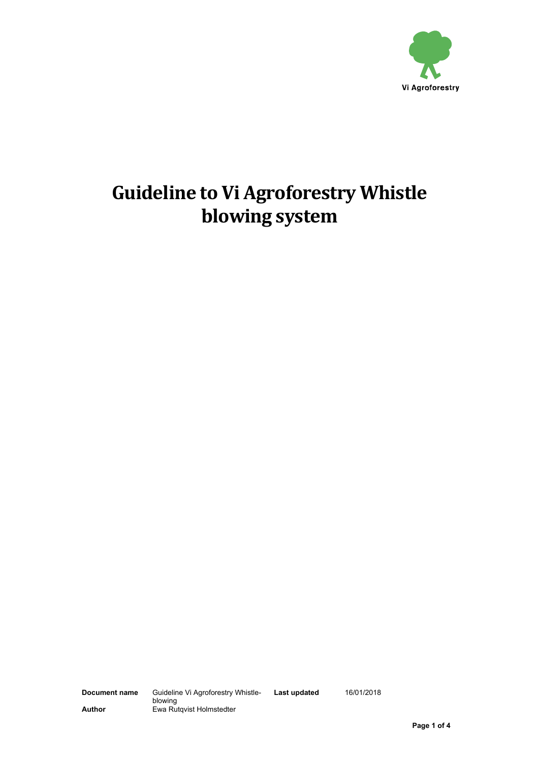

# **Guideline to Vi Agroforestry Whistle blowing system**

**Last updated** 16/01/2018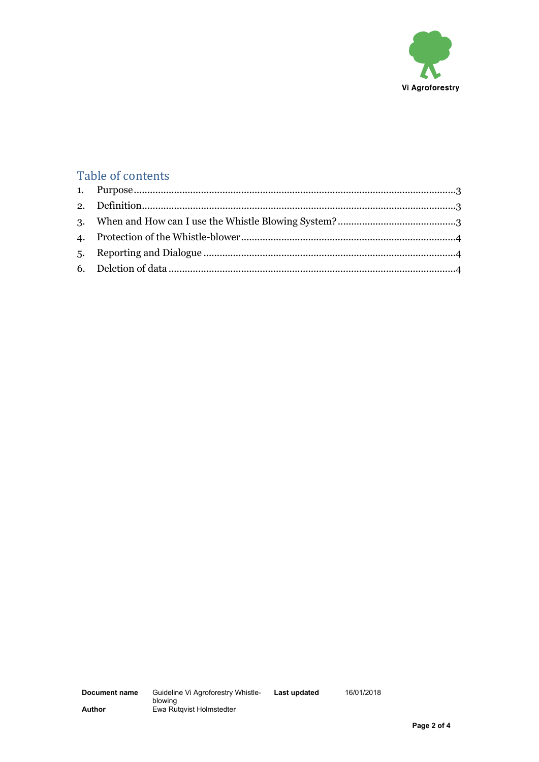

# Table of contents

**Last updated** 16/01/2018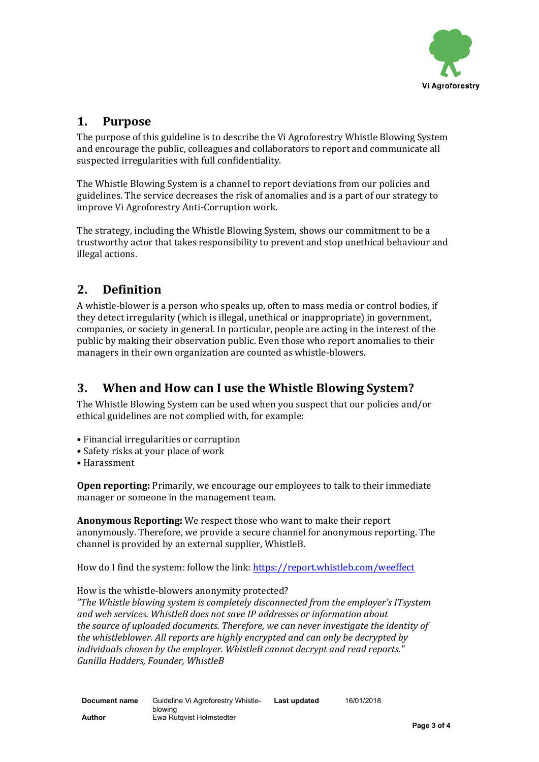

#### <span id="page-2-0"></span>**1. Purpose**

The purpose of this guideline is to describe the Vi Agroforestry Whistle Blowing System and encourage the public, colleagues and collaborators to report and communicate all suspected irregularities with full confidentiality.

The Whistle Blowing System is a channel to report deviations from our policies and guidelines. The service decreases the risk of anomalies and is a part of our strategy to improve Vi Agroforestry Anti-Corruption work.

The strategy, including the Whistle Blowing System, shows our commitment to be a trustworthy actor that takes responsibility to prevent and stop unethical behaviour and illegal actions.

# <span id="page-2-1"></span>**2. Definition**

A whistle-blower is a person who speaks up, often to mass media or control bodies, if they detect irregularity (which is illegal, unethical or inappropriate) in government, companies, or society in general. In particular, people are acting in the interest of the public by making their observation public. Even those who report anomalies to their managers in their own organization are counted as whistle-blowers.

#### <span id="page-2-2"></span>**3. When and How can I use the Whistle Blowing System?**

The Whistle Blowing System can be used when you suspect that our policies and/or ethical guidelines are not complied with, for example:

- Financial irregularities or corruption
- Safety risks at your place of work
- Harassment

**Open reporting:** Primarily, we encourage our employees to talk to their immediate manager or someone in the management team.

**Anonymous Reporting:** We respect those who want to make their report anonymously. Therefore, we provide a secure channel for anonymous reporting. The channel is provided by an external supplier, WhistleB.

How do I find the system: follow the link: <https://report.whistleb.com/weeffect>

How is the whistle-blowers anonymity protected?

*"The Whistle blowing system is completely disconnected from the employer's ITsystem and web services. WhistleB does not save IP addresses or information about the source of uploaded documents. Therefore, we can never investigate the identity of the whistleblower. All reports are highly encrypted and can only be decrypted by individuals chosen by the employer. WhistleB cannot decrypt and read reports." Gunilla Hadders, Founder, WhistleB*